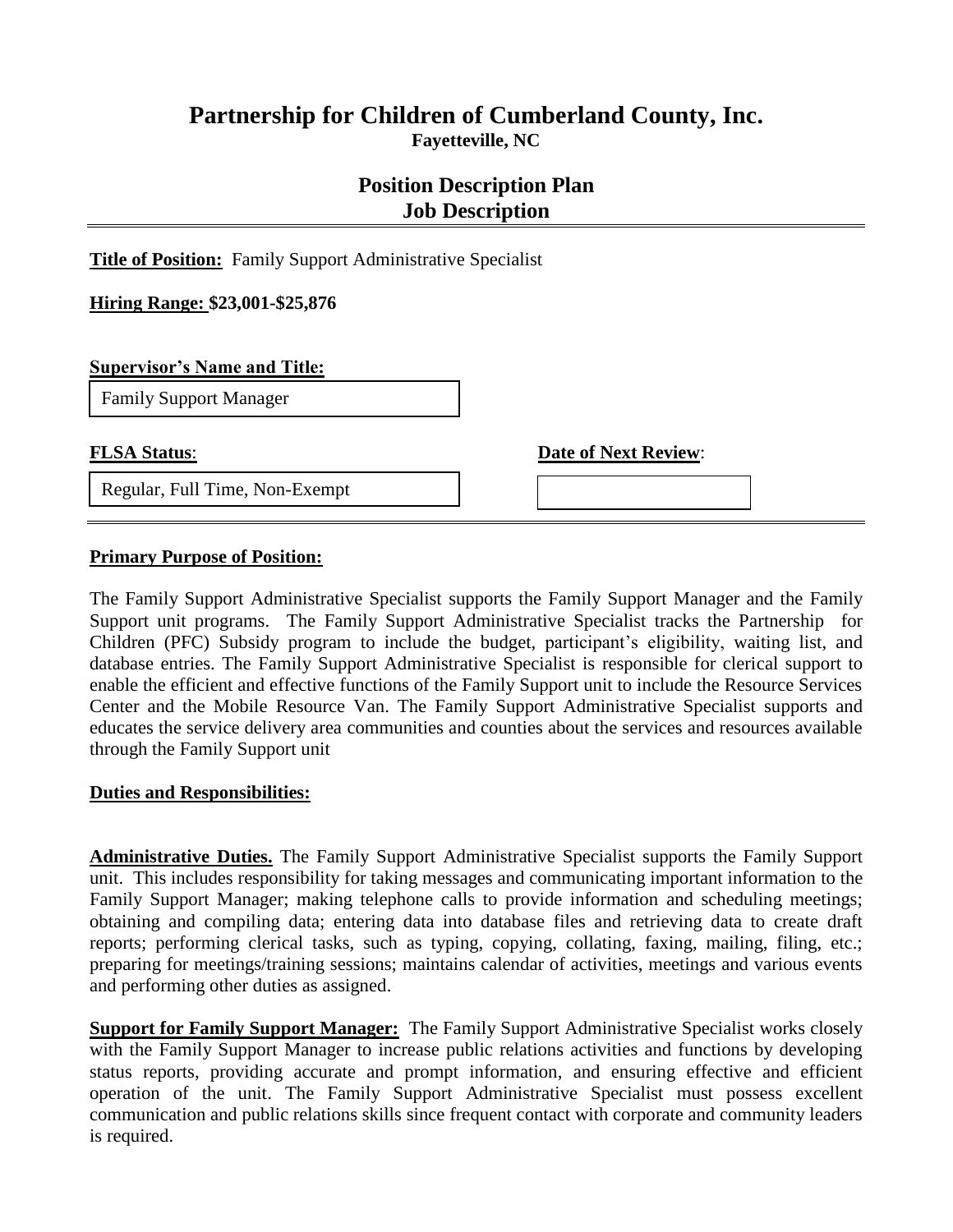## **Partnership for Children of Cumberland County, Inc. Fayetteville, NC**

# **Position Description Plan Job Description**

**Title of Position:** Family Support Administrative Specialist

**Hiring Range: \$23,001-\$25,876**

#### **Supervisor's Name and Title:**

Family Support Manager

Regular, Full Time, Non-Exempt

**FLSA Status: Date of Next Review:** 

**Primary Purpose of Position:**

The Family Support Administrative Specialist supports the Family Support Manager and the Family Support unit programs. The Family Support Administrative Specialist tracks the Partnership for Children (PFC) Subsidy program to include the budget, participant's eligibility, waiting list, and database entries. The Family Support Administrative Specialist is responsible for clerical support to enable the efficient and effective functions of the Family Support unit to include the Resource Services Center and the Mobile Resource Van. The Family Support Administrative Specialist supports and educates the service delivery area communities and counties about the services and resources available through the Family Support unit

#### **Duties and Responsibilities:**

**Administrative Duties.** The Family Support Administrative Specialist supports the Family Support unit. This includes responsibility for taking messages and communicating important information to the Family Support Manager; making telephone calls to provide information and scheduling meetings; obtaining and compiling data; entering data into database files and retrieving data to create draft reports; performing clerical tasks, such as typing, copying, collating, faxing, mailing, filing, etc.; preparing for meetings/training sessions; maintains calendar of activities, meetings and various events and performing other duties as assigned.

**Support for Family Support Manager:** The Family Support Administrative Specialist works closely with the Family Support Manager to increase public relations activities and functions by developing status reports, providing accurate and prompt information, and ensuring effective and efficient operation of the unit. The Family Support Administrative Specialist must possess excellent communication and public relations skills since frequent contact with corporate and community leaders is required.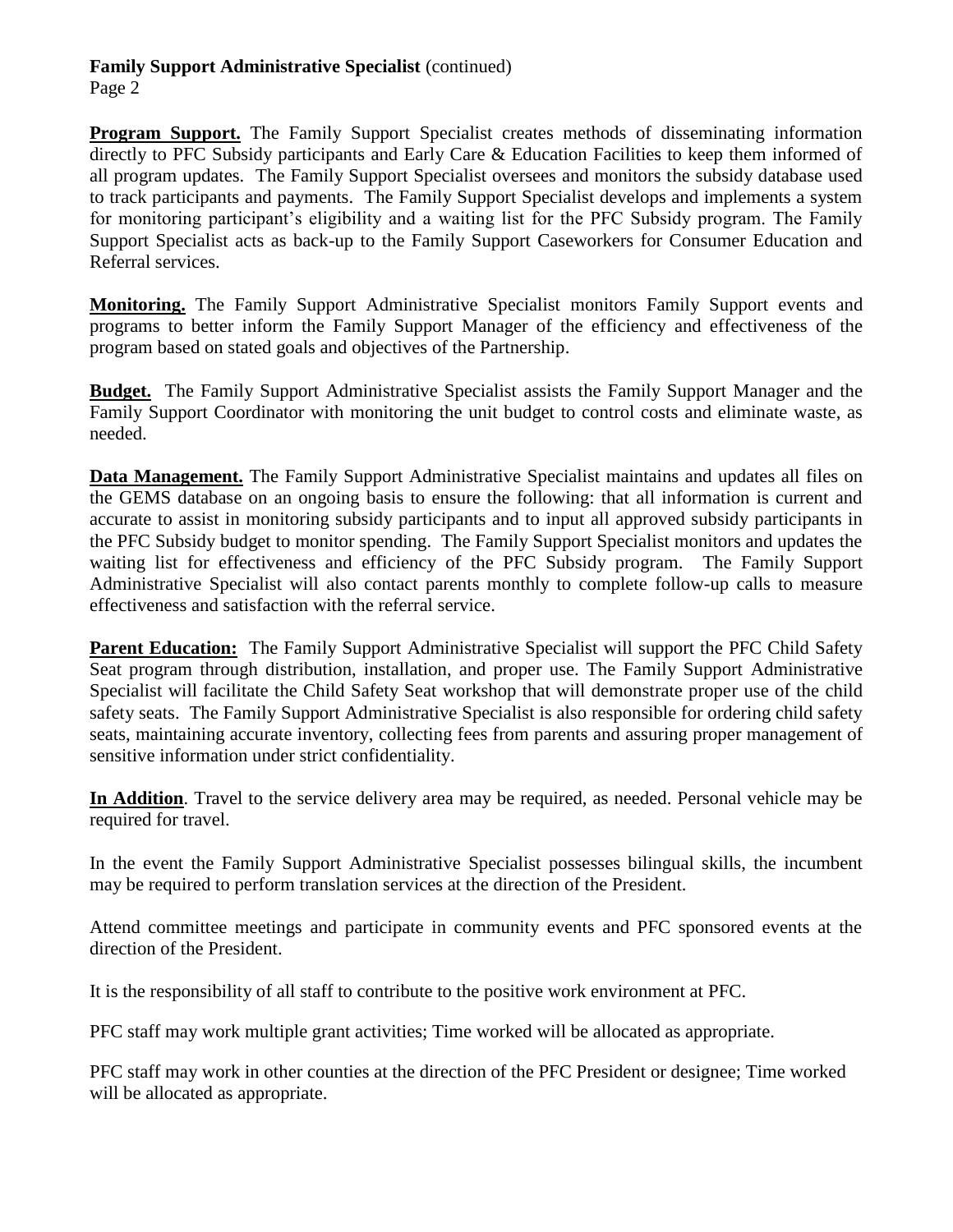Page 2

**Program Support.** The Family Support Specialist creates methods of disseminating information directly to PFC Subsidy participants and Early Care & Education Facilities to keep them informed of all program updates. The Family Support Specialist oversees and monitors the subsidy database used to track participants and payments. The Family Support Specialist develops and implements a system for monitoring participant's eligibility and a waiting list for the PFC Subsidy program. The Family Support Specialist acts as back-up to the Family Support Caseworkers for Consumer Education and Referral services.

**Monitoring.** The Family Support Administrative Specialist monitors Family Support events and programs to better inform the Family Support Manager of the efficiency and effectiveness of the program based on stated goals and objectives of the Partnership.

**Budget.** The Family Support Administrative Specialist assists the Family Support Manager and the Family Support Coordinator with monitoring the unit budget to control costs and eliminate waste, as needed.

**Data Management.** The Family Support Administrative Specialist maintains and updates all files on the GEMS database on an ongoing basis to ensure the following: that all information is current and accurate to assist in monitoring subsidy participants and to input all approved subsidy participants in the PFC Subsidy budget to monitor spending. The Family Support Specialist monitors and updates the waiting list for effectiveness and efficiency of the PFC Subsidy program. The Family Support Administrative Specialist will also contact parents monthly to complete follow-up calls to measure effectiveness and satisfaction with the referral service.

**Parent Education:** The Family Support Administrative Specialist will support the PFC Child Safety Seat program through distribution, installation, and proper use. The Family Support Administrative Specialist will facilitate the Child Safety Seat workshop that will demonstrate proper use of the child safety seats. The Family Support Administrative Specialist is also responsible for ordering child safety seats, maintaining accurate inventory, collecting fees from parents and assuring proper management of sensitive information under strict confidentiality.

**In Addition**. Travel to the service delivery area may be required, as needed. Personal vehicle may be required for travel.

In the event the Family Support Administrative Specialist possesses bilingual skills, the incumbent may be required to perform translation services at the direction of the President.

Attend committee meetings and participate in community events and PFC sponsored events at the direction of the President.

It is the responsibility of all staff to contribute to the positive work environment at PFC.

PFC staff may work multiple grant activities; Time worked will be allocated as appropriate.

PFC staff may work in other counties at the direction of the PFC President or designee; Time worked will be allocated as appropriate.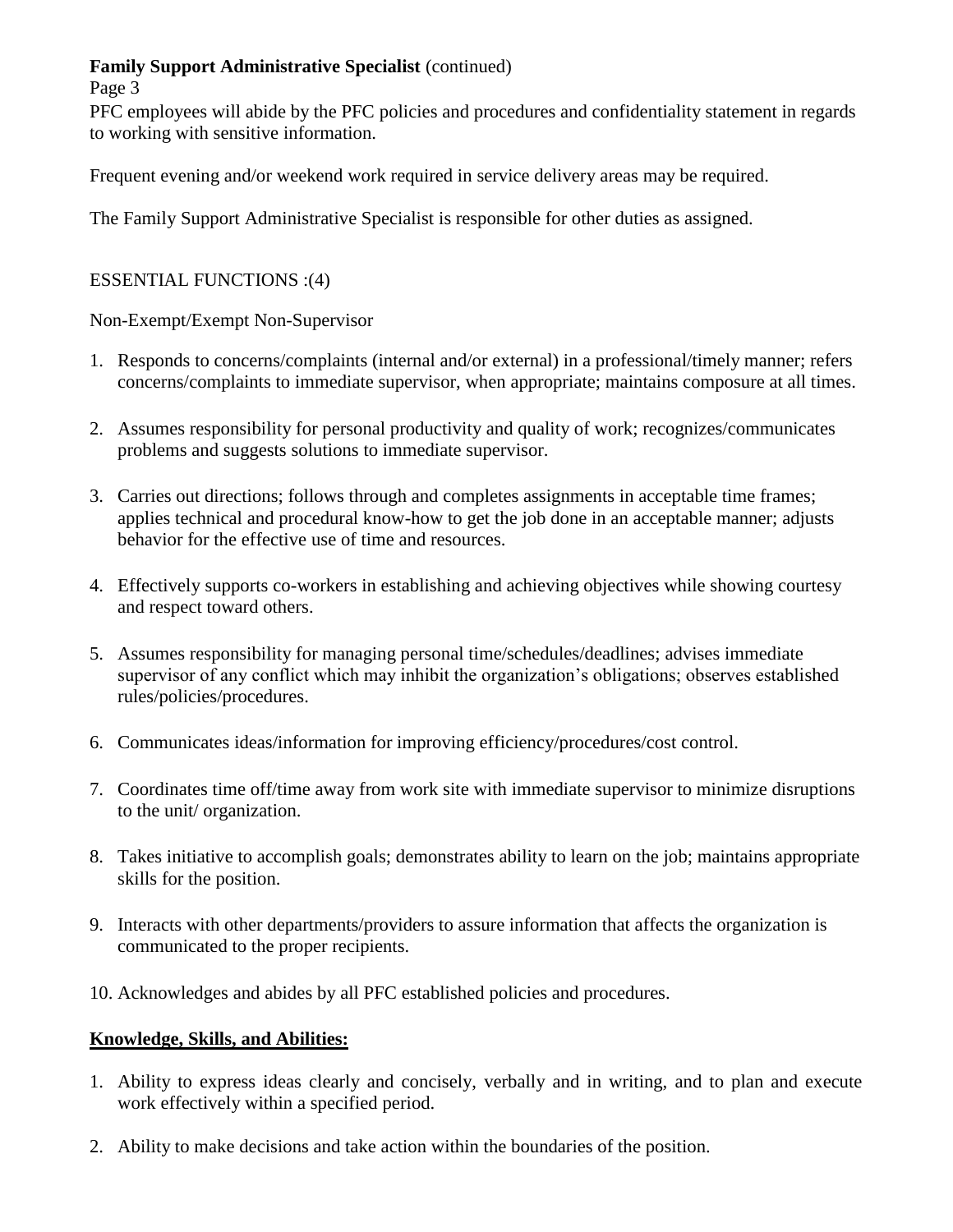#### Page 3

PFC employees will abide by the PFC policies and procedures and confidentiality statement in regards to working with sensitive information.

Frequent evening and/or weekend work required in service delivery areas may be required.

The Family Support Administrative Specialist is responsible for other duties as assigned.

#### ESSENTIAL FUNCTIONS :(4)

Non-Exempt/Exempt Non-Supervisor

- 1. Responds to concerns/complaints (internal and/or external) in a professional/timely manner; refers concerns/complaints to immediate supervisor, when appropriate; maintains composure at all times.
- 2. Assumes responsibility for personal productivity and quality of work; recognizes/communicates problems and suggests solutions to immediate supervisor.
- 3. Carries out directions; follows through and completes assignments in acceptable time frames; applies technical and procedural know-how to get the job done in an acceptable manner; adjusts behavior for the effective use of time and resources.
- 4. Effectively supports co-workers in establishing and achieving objectives while showing courtesy and respect toward others.
- 5. Assumes responsibility for managing personal time/schedules/deadlines; advises immediate supervisor of any conflict which may inhibit the organization's obligations; observes established rules/policies/procedures.
- 6. Communicates ideas/information for improving efficiency/procedures/cost control.
- 7. Coordinates time off/time away from work site with immediate supervisor to minimize disruptions to the unit/ organization.
- 8. Takes initiative to accomplish goals; demonstrates ability to learn on the job; maintains appropriate skills for the position.
- 9. Interacts with other departments/providers to assure information that affects the organization is communicated to the proper recipients.
- 10. Acknowledges and abides by all PFC established policies and procedures.

### **Knowledge, Skills, and Abilities:**

- 1. Ability to express ideas clearly and concisely, verbally and in writing, and to plan and execute work effectively within a specified period.
- 2. Ability to make decisions and take action within the boundaries of the position.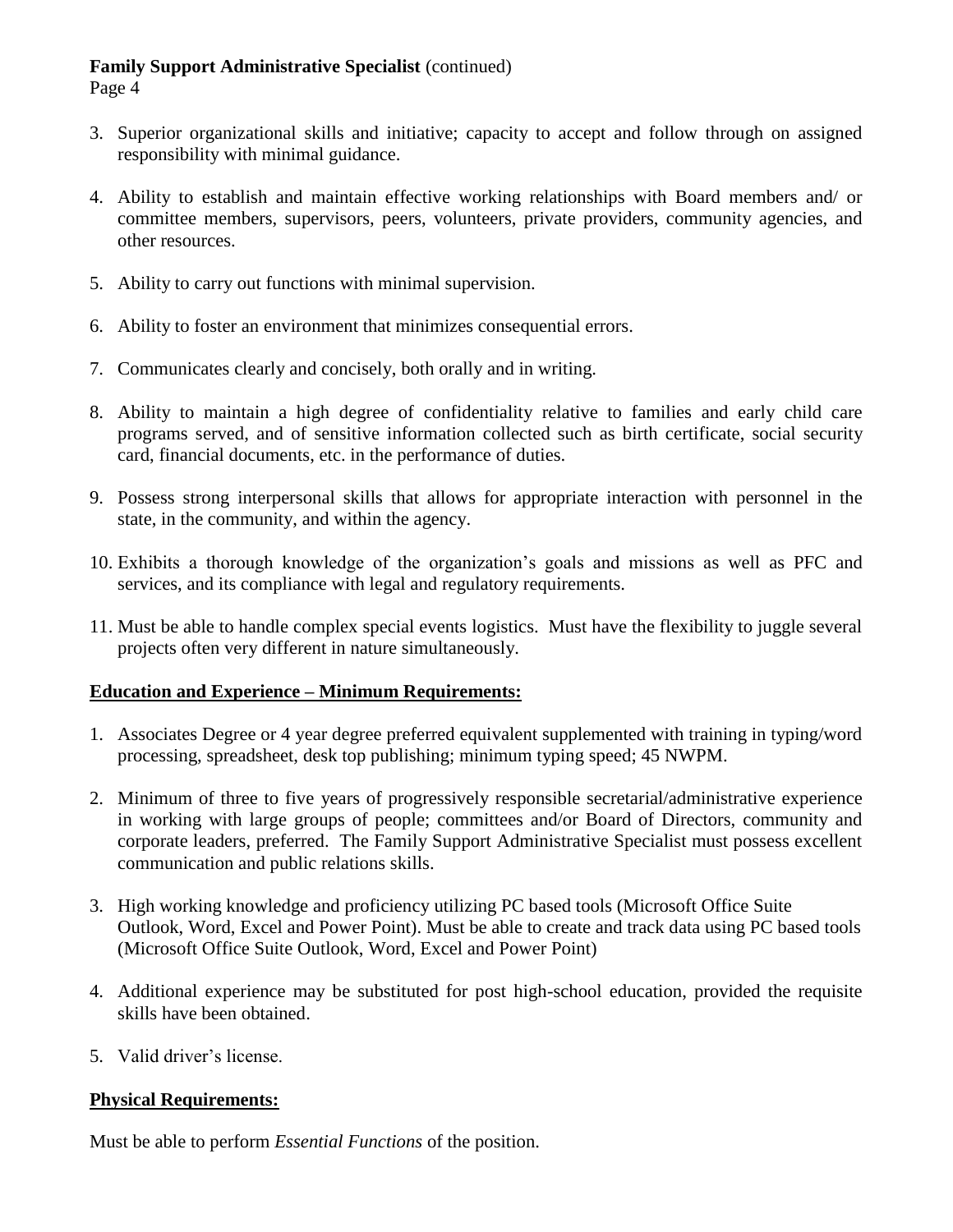Page 4

- 3. Superior organizational skills and initiative; capacity to accept and follow through on assigned responsibility with minimal guidance.
- 4. Ability to establish and maintain effective working relationships with Board members and/ or committee members, supervisors, peers, volunteers, private providers, community agencies, and other resources.
- 5. Ability to carry out functions with minimal supervision.
- 6. Ability to foster an environment that minimizes consequential errors.
- 7. Communicates clearly and concisely, both orally and in writing.
- 8. Ability to maintain a high degree of confidentiality relative to families and early child care programs served, and of sensitive information collected such as birth certificate, social security card, financial documents, etc. in the performance of duties.
- 9. Possess strong interpersonal skills that allows for appropriate interaction with personnel in the state, in the community, and within the agency.
- 10. Exhibits a thorough knowledge of the organization's goals and missions as well as PFC and services, and its compliance with legal and regulatory requirements.
- 11. Must be able to handle complex special events logistics. Must have the flexibility to juggle several projects often very different in nature simultaneously.

#### **Education and Experience – Minimum Requirements:**

- 1. Associates Degree or 4 year degree preferred equivalent supplemented with training in typing/word processing, spreadsheet, desk top publishing; minimum typing speed; 45 NWPM.
- 2. Minimum of three to five years of progressively responsible secretarial/administrative experience in working with large groups of people; committees and/or Board of Directors, community and corporate leaders, preferred. The Family Support Administrative Specialist must possess excellent communication and public relations skills.
- 3. High working knowledge and proficiency utilizing PC based tools (Microsoft Office Suite Outlook, Word, Excel and Power Point). Must be able to create and track data using PC based tools (Microsoft Office Suite Outlook, Word, Excel and Power Point)
- 4. Additional experience may be substituted for post high-school education, provided the requisite skills have been obtained.
- 5. Valid driver's license.

#### **Physical Requirements:**

Must be able to perform *Essential Functions* of the position.